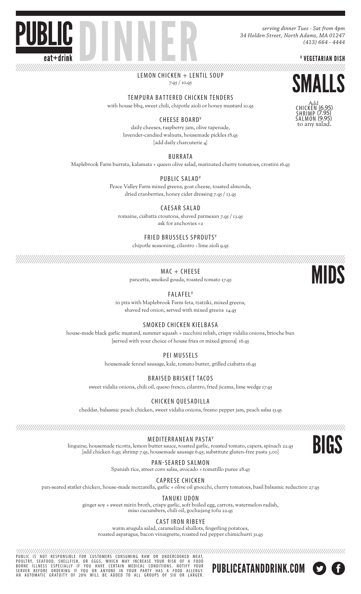*serving dinner Tues - Sat from 4pm 34 Holden Street, North Adams, MA 01247 (413) 664 - 4444*

V VEGETARIAN DISH

**DINNER** LEMON CHICKEN + LENTIL SOUP 7.95 / 10.95





TEMPURA BATTERED CHICKEN TENDERS with house bbq, sweet chili, chipotle aioli or honey mustard 10.95

CHEESE BOARDV

daily cheeses, raspberry jam, olive tapenade, lavender-candied walnuts, housemade pickles 18.95 [add daily charcuterie 4]

BURRATA

Maplebrook Farm burrata, kalamata + queen olive salad, marinated cherry tomatoes, crostini 16.95

PUBLIC SALADV

Peace Valley Farm mixed greens, goat cheese, toasted almonds, dried cranberries, honey cider dressing 7.95 / 13.95

CAESAR SALAD

romaine, ciabatta croutons, shaved parmesan 7.95 / 13.95 ask for anchovies +2

FRIED BRUSSELS SPROUTSV

chipotle seasoning, cilantro - lime aioli 9.95

MAC + CHEESE

pancetta, smoked gouda, roasted tomato 17.95

**FALAFEL**<sup>V</sup>

in pita with Maplebrook Farm feta, tzatziki, mixed greens, shaved red onion, served with mixed greens 14.95

SMOKED CHICKEN KIELBASA

house-made black garlic mustard, summer squash + zucchini relish, crispy vidalia onions, brioche bun {served with your choice of house fries or mixed greens} 16.95

PEI MUSSELS

housemade fennel sausage, kale, tomato butter, grilled ciabatta 16.95

BRAISED BRISKET TACOS

sweet vidalia onions, chili oil, queso fresco, cilantro, fried jicama, lime wedge 17.95

CHICKEN QUESADILLA

cheddar, balsamic peach chicken, sweet vidalia onions, fresno pepper jam, peach salsa 15.95

MEDITERRANEAN PASTAV linguine, housemade ricotta, lemon butter sauce, roasted garlic, roasted tomato, capers, spinach 22.95 [add chicken 6.95; shrimp 7.95, housemade sausage 6.95; substitute gluten-free pasta 3.00]



MIDS

PAN-SEARED SALMON

Spanish rice, street corn salsa, avocado + tomatillo puree 28.95

CAPRESE CHICKEN

pan-seared statler chicken, house-made mozzarella, garlic + olive oil gnocchi, cherry tomatoes, basil balsamic reduction 27.95

TANUKI UDON

ginger soy + sweet mirin broth, crispy garlic, soft boiled egg, carrots, watermelon radish, miso cucumbers, chili oil, gochujang tofu 22.95

CAST IRON RIBEYE

warm arugula salad, caramelized shallots, fingerling potatoes, roasted asparagus, bacon vinaigrette, roasted red pepper chimichurri 31.95

PUBLIC IS NOT RESPONSIBLE FOR CUSTOMERS CONSUMING RAW OR UNDERCOOKED MEAT, POULTRY, SEAFOOD, SHELLFISH, OR EGGS, WHICH MAY INCREASE YOUR RISK OF A FOOD BORNE ILLNESS ESPECIALLY IF YOU HAVE CERTAIN MEDICAL CONDITIONS. NOTIFY YOUR SERVER BEFORE ORDERING IF YOU OR ANYONE IN YOUR PARTY HAS A FOOD ALLERGY. AN AUTOMATIC GRATUIT Y OF 20% WILL BE ADDED TO ALL GROUPS OF SIX OR LARGER.

PUBLICEATANDDRINK.COM